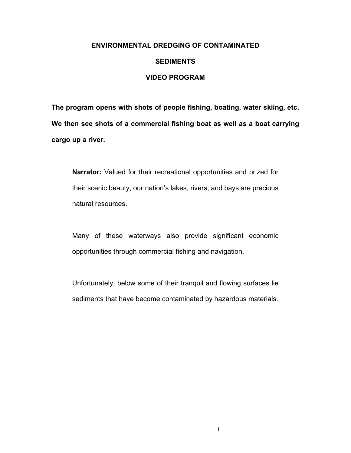### **ENVIRONMENTAL DREDGING OF CONTAMINATED**

#### **SEDIMENTS**

#### **VIDEO PROGRAM**

**The program opens with shots of people fishing, boating, water skiing, etc. We then see shots of a commercial fishing boat as well as a boat carrying cargo up a river.** 

**Narrator:** Valued for their recreational opportunities and prized for their scenic beauty, our nation's lakes, rivers, and bays are precious natural resources.

Many of these waterways also provide significant economic opportunities through commercial fishing and navigation.

Unfortunately, below some of their tranquil and flowing surfaces lie sediments that have become contaminated by hazardous materials.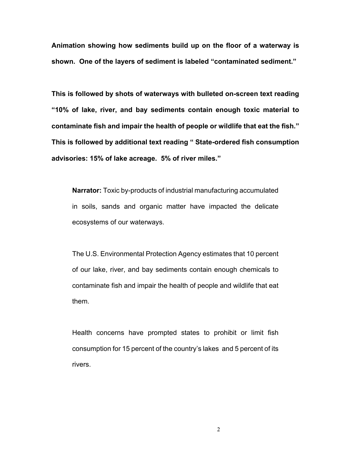**Animation showing how sediments build up on the floor of a waterway is**  shown. One of the layers of sediment is labeled "contaminated sediment."

**This is followed by shots of waterways with bulleted on-screen text reading ì10% of lake, river, and bay sediments contain enough toxic material to**  contaminate fish and impair the health of people or wildlife that eat the fish." This is followed by additional text reading " State-ordered fish consumption advisories: 15% of lake acreage. 5% of river miles."

**Narrator:** Toxic by-products of industrial manufacturing accumulated in soils, sands and organic matter have impacted the delicate ecosystems of our waterways.

The U.S. Environmental Protection Agency estimates that 10 percent of our lake, river, and bay sediments contain enough chemicals to contaminate fish and impair the health of people and wildlife that eat them.

Health concerns have prompted states to prohibit or limit fish consumption for 15 percent of the countryís lakes and 5 percent of its rivers.

2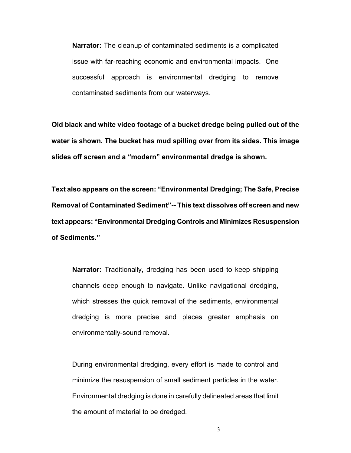**Narrator:** The cleanup of contaminated sediments is a complicated issue with far-reaching economic and environmental impacts. One successful approach is environmental dredging to remove contaminated sediments from our waterways.

**Old black and white video footage of a bucket dredge being pulled out of the water is shown. The bucket has mud spilling over from its sides. This image**  slides off screen and a "modern" environmental dredge is shown.

Text also appears on the screen: "Environmental Dredging; The Safe, Precise **Removal of Contaminated Sedimentî-- This text dissolves off screen and new**  text appears: "Environmental Dredging Controls and Minimizes Resuspension **of Sediments.î** 

**Narrator:** Traditionally, dredging has been used to keep shipping channels deep enough to navigate. Unlike navigational dredging, which stresses the quick removal of the sediments, environmental dredging is more precise and places greater emphasis on environmentally-sound removal.

During environmental dredging, every effort is made to control and minimize the resuspension of small sediment particles in the water. Environmental dredging is done in carefully delineated areas that limit the amount of material to be dredged.

3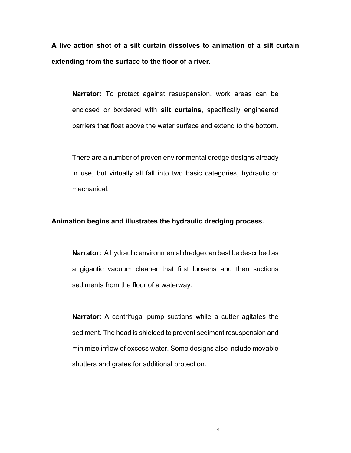**A live action shot of a silt curtain dissolves to animation of a silt curtain extending from the surface to the floor of a river.** 

**Narrator:** To protect against resuspension, work areas can be enclosed or bordered with **silt curtains**, specifically engineered barriers that float above the water surface and extend to the bottom.

There are a number of proven environmental dredge designs already in use, but virtually all fall into two basic categories, hydraulic or mechanical.

## **Animation begins and illustrates the hydraulic dredging process.**

**Narrator:** A hydraulic environmental dredge can best be described as a gigantic vacuum cleaner that first loosens and then suctions sediments from the floor of a waterway.

**Narrator:** A centrifugal pump suctions while a cutter agitates the sediment. The head is shielded to prevent sediment resuspension and minimize inflow of excess water. Some designs also include movable shutters and grates for additional protection.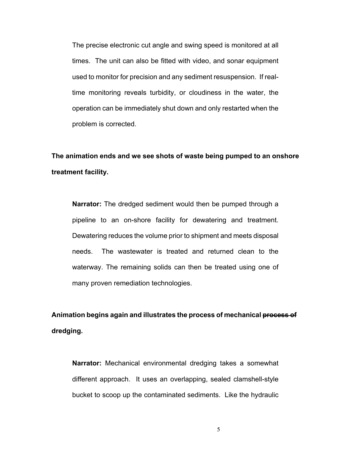The precise electronic cut angle and swing speed is monitored at all times. The unit can also be fitted with video, and sonar equipment used to monitor for precision and any sediment resuspension. If realtime monitoring reveals turbidity, or cloudiness in the water, the operation can be immediately shut down and only restarted when the problem is corrected.

# **The animation ends and we see shots of waste being pumped to an onshore treatment facility.**

**Narrator:** The dredged sediment would then be pumped through a pipeline to an on-shore facility for dewatering and treatment. Dewatering reduces the volume prior to shipment and meets disposal needs. The wastewater is treated and returned clean to the waterway. The remaining solids can then be treated using one of many proven remediation technologies.

**Animation begins again and illustrates the process of mechanical process of dredging.** 

**Narrator:** Mechanical environmental dredging takes a somewhat different approach. It uses an overlapping, sealed clamshell-style bucket to scoop up the contaminated sediments. Like the hydraulic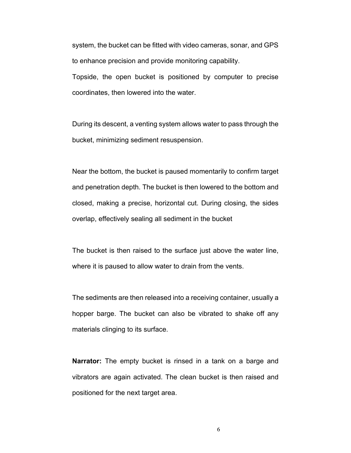system, the bucket can be fitted with video cameras, sonar, and GPS to enhance precision and provide monitoring capability. Topside, the open bucket is positioned by computer to precise coordinates, then lowered into the water.

During its descent, a venting system allows water to pass through the bucket, minimizing sediment resuspension.

Near the bottom, the bucket is paused momentarily to confirm target and penetration depth. The bucket is then lowered to the bottom and closed, making a precise, horizontal cut. During closing, the sides overlap, effectively sealing all sediment in the bucket

The bucket is then raised to the surface just above the water line, where it is paused to allow water to drain from the vents.

The sediments are then released into a receiving container, usually a hopper barge. The bucket can also be vibrated to shake off any materials clinging to its surface.

**Narrator:** The empty bucket is rinsed in a tank on a barge and vibrators are again activated. The clean bucket is then raised and positioned for the next target area.

6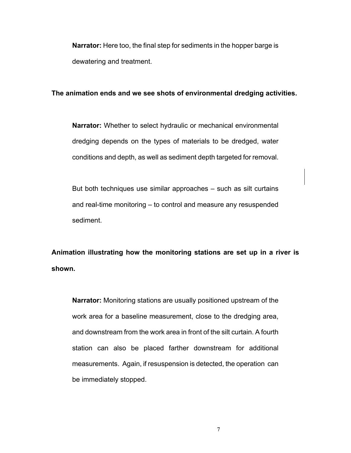**Narrator:** Here too, the final step for sediments in the hopper barge is dewatering and treatment.

## **The animation ends and we see shots of environmental dredging activities.**

**Narrator:** Whether to select hydraulic or mechanical environmental dredging depends on the types of materials to be dredged, water conditions and depth, as well as sediment depth targeted for removal.

But both techniques use similar approaches  $-$  such as silt curtains and real-time monitoring  $-$  to control and measure any resuspended sediment.

**Animation illustrating how the monitoring stations are set up in a river is shown.** 

**Narrator:** Monitoring stations are usually positioned upstream of the work area for a baseline measurement, close to the dredging area, and downstream from the work area in front of the silt curtain. A fourth station can also be placed farther downstream for additional measurements. Again, if resuspension is detected, the operation can be immediately stopped.